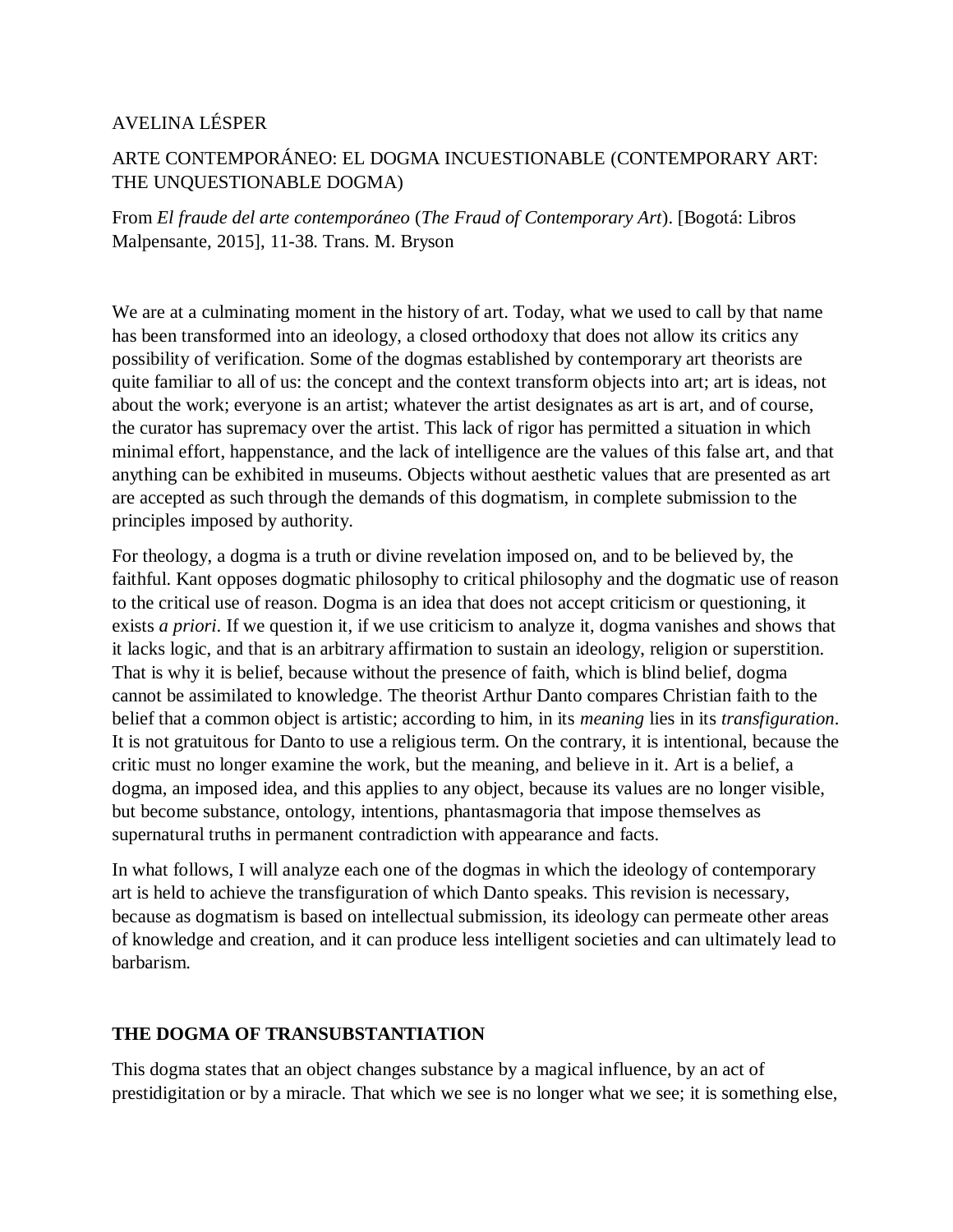# AVELINA LÉSPER

# ARTE CONTEMPORÁNEO: EL DOGMA INCUESTIONABLE (CONTEMPORARY ART: THE UNQUESTIONABLE DOGMA)

From *El fraude del arte contemporáneo* (*The Fraud of Contemporary Art*). [Bogotá: Libros Malpensante, 2015], 11-38. Trans. M. Bryson

We are at a culminating moment in the history of art. Today, what we used to call by that name has been transformed into an ideology, a closed orthodoxy that does not allow its critics any possibility of verification. Some of the dogmas established by contemporary art theorists are quite familiar to all of us: the concept and the context transform objects into art; art is ideas, not about the work; everyone is an artist; whatever the artist designates as art is art, and of course, the curator has supremacy over the artist. This lack of rigor has permitted a situation in which minimal effort, happenstance, and the lack of intelligence are the values of this false art, and that anything can be exhibited in museums. Objects without aesthetic values that are presented as art are accepted as such through the demands of this dogmatism, in complete submission to the principles imposed by authority.

For theology, a dogma is a truth or divine revelation imposed on, and to be believed by, the faithful. Kant opposes dogmatic philosophy to critical philosophy and the dogmatic use of reason to the critical use of reason. Dogma is an idea that does not accept criticism or questioning, it exists *a priori*. If we question it, if we use criticism to analyze it, dogma vanishes and shows that it lacks logic, and that is an arbitrary affirmation to sustain an ideology, religion or superstition. That is why it is belief, because without the presence of faith, which is blind belief, dogma cannot be assimilated to knowledge. The theorist Arthur Danto compares Christian faith to the belief that a common object is artistic; according to him, in its *meaning* lies in its *transfiguration*. It is not gratuitous for Danto to use a religious term. On the contrary, it is intentional, because the critic must no longer examine the work, but the meaning, and believe in it. Art is a belief, a dogma, an imposed idea, and this applies to any object, because its values are no longer visible, but become substance, ontology, intentions, phantasmagoria that impose themselves as supernatural truths in permanent contradiction with appearance and facts.

In what follows, I will analyze each one of the dogmas in which the ideology of contemporary art is held to achieve the transfiguration of which Danto speaks. This revision is necessary, because as dogmatism is based on intellectual submission, its ideology can permeate other areas of knowledge and creation, and it can produce less intelligent societies and can ultimately lead to barbarism.

## **THE DOGMA OF TRANSUBSTANTIATION**

This dogma states that an object changes substance by a magical influence, by an act of prestidigitation or by a miracle. That which we see is no longer what we see; it is something else,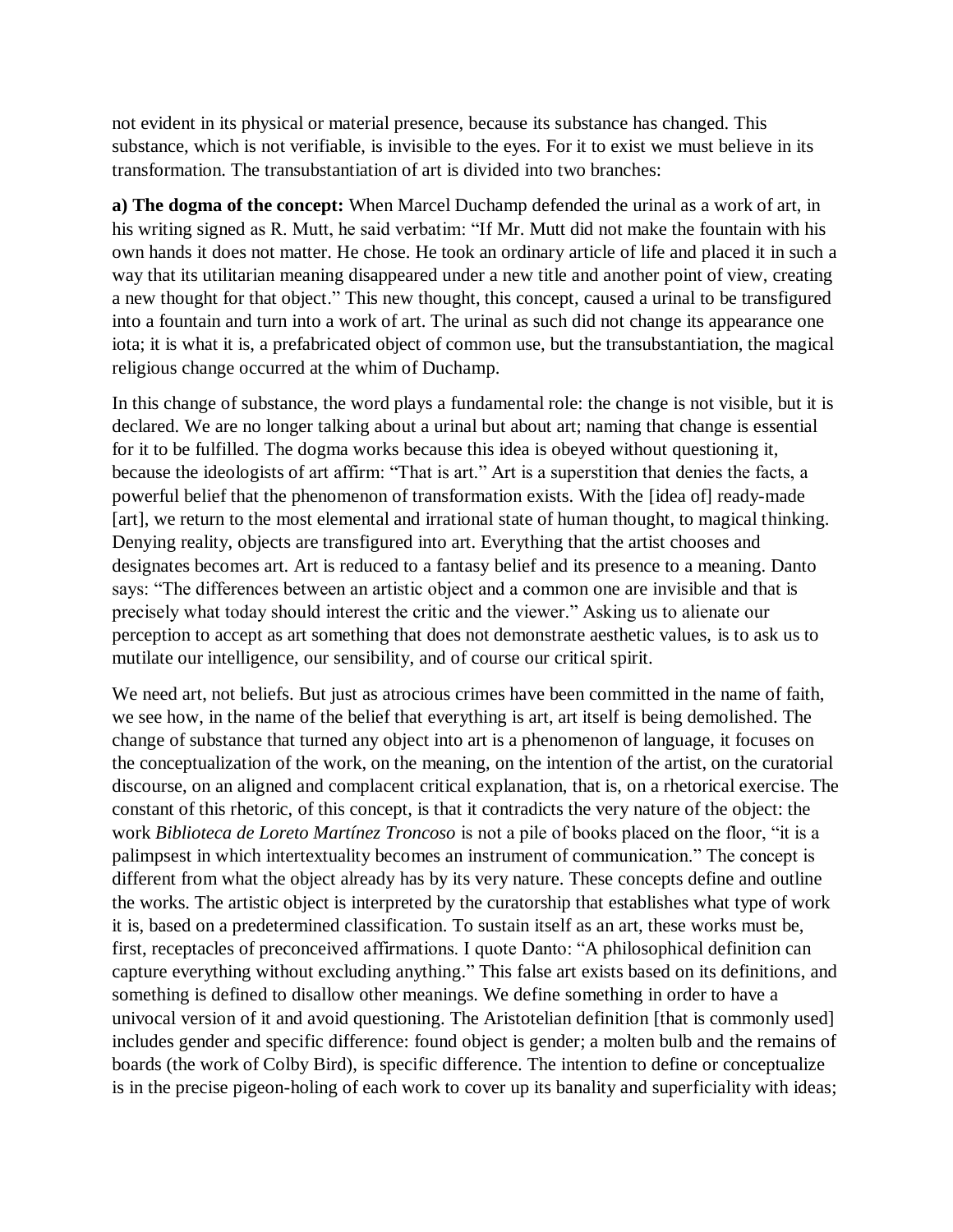not evident in its physical or material presence, because its substance has changed. This substance, which is not verifiable, is invisible to the eyes. For it to exist we must believe in its transformation. The transubstantiation of art is divided into two branches:

**a) The dogma of the concept:** When Marcel Duchamp defended the urinal as a work of art, in his writing signed as R. Mutt, he said verbatim: "If Mr. Mutt did not make the fountain with his own hands it does not matter. He chose. He took an ordinary article of life and placed it in such a way that its utilitarian meaning disappeared under a new title and another point of view, creating a new thought for that object." This new thought, this concept, caused a urinal to be transfigured into a fountain and turn into a work of art. The urinal as such did not change its appearance one iota; it is what it is, a prefabricated object of common use, but the transubstantiation, the magical religious change occurred at the whim of Duchamp.

In this change of substance, the word plays a fundamental role: the change is not visible, but it is declared. We are no longer talking about a urinal but about art; naming that change is essential for it to be fulfilled. The dogma works because this idea is obeyed without questioning it, because the ideologists of art affirm: "That is art." Art is a superstition that denies the facts, a powerful belief that the phenomenon of transformation exists. With the [idea of] ready-made [art], we return to the most elemental and irrational state of human thought, to magical thinking. Denying reality, objects are transfigured into art. Everything that the artist chooses and designates becomes art. Art is reduced to a fantasy belief and its presence to a meaning. Danto says: "The differences between an artistic object and a common one are invisible and that is precisely what today should interest the critic and the viewer." Asking us to alienate our perception to accept as art something that does not demonstrate aesthetic values, is to ask us to mutilate our intelligence, our sensibility, and of course our critical spirit.

We need art, not beliefs. But just as atrocious crimes have been committed in the name of faith, we see how, in the name of the belief that everything is art, art itself is being demolished. The change of substance that turned any object into art is a phenomenon of language, it focuses on the conceptualization of the work, on the meaning, on the intention of the artist, on the curatorial discourse, on an aligned and complacent critical explanation, that is, on a rhetorical exercise. The constant of this rhetoric, of this concept, is that it contradicts the very nature of the object: the work *Biblioteca de Loreto Martínez Troncoso* is not a pile of books placed on the floor, "it is a palimpsest in which intertextuality becomes an instrument of communication." The concept is different from what the object already has by its very nature. These concepts define and outline the works. The artistic object is interpreted by the curatorship that establishes what type of work it is, based on a predetermined classification. To sustain itself as an art, these works must be, first, receptacles of preconceived affirmations. I quote Danto: "A philosophical definition can capture everything without excluding anything." This false art exists based on its definitions, and something is defined to disallow other meanings. We define something in order to have a univocal version of it and avoid questioning. The Aristotelian definition [that is commonly used] includes gender and specific difference: found object is gender; a molten bulb and the remains of boards (the work of Colby Bird), is specific difference. The intention to define or conceptualize is in the precise pigeon-holing of each work to cover up its banality and superficiality with ideas;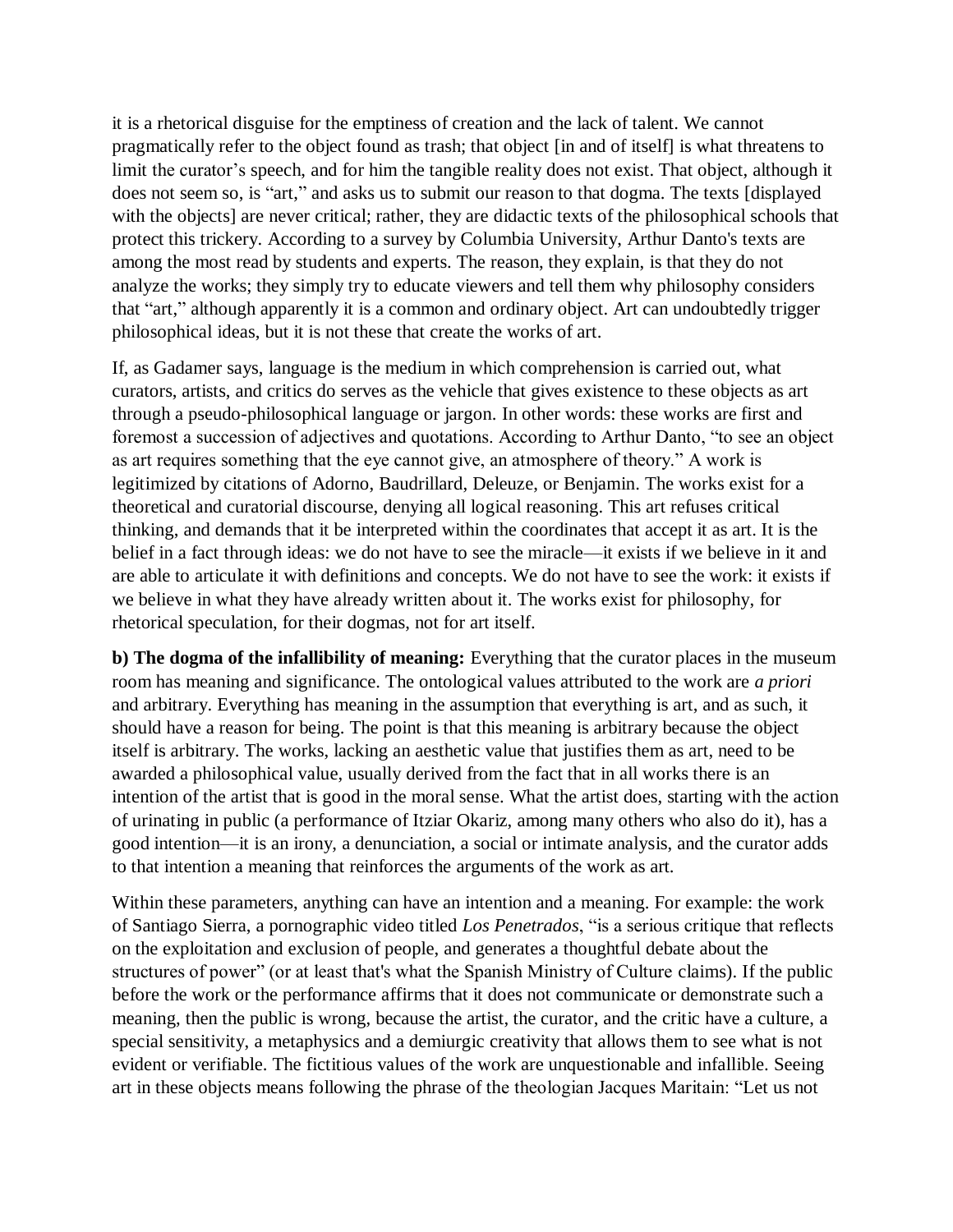it is a rhetorical disguise for the emptiness of creation and the lack of talent. We cannot pragmatically refer to the object found as trash; that object [in and of itself] is what threatens to limit the curator's speech, and for him the tangible reality does not exist. That object, although it does not seem so, is "art," and asks us to submit our reason to that dogma. The texts [displayed with the objects] are never critical; rather, they are didactic texts of the philosophical schools that protect this trickery. According to a survey by Columbia University, Arthur Danto's texts are among the most read by students and experts. The reason, they explain, is that they do not analyze the works; they simply try to educate viewers and tell them why philosophy considers that "art," although apparently it is a common and ordinary object. Art can undoubtedly trigger philosophical ideas, but it is not these that create the works of art.

If, as Gadamer says, language is the medium in which comprehension is carried out, what curators, artists, and critics do serves as the vehicle that gives existence to these objects as art through a pseudo-philosophical language or jargon. In other words: these works are first and foremost a succession of adjectives and quotations. According to Arthur Danto, "to see an object as art requires something that the eye cannot give, an atmosphere of theory." A work is legitimized by citations of Adorno, Baudrillard, Deleuze, or Benjamin. The works exist for a theoretical and curatorial discourse, denying all logical reasoning. This art refuses critical thinking, and demands that it be interpreted within the coordinates that accept it as art. It is the belief in a fact through ideas: we do not have to see the miracle—it exists if we believe in it and are able to articulate it with definitions and concepts. We do not have to see the work: it exists if we believe in what they have already written about it. The works exist for philosophy, for rhetorical speculation, for their dogmas, not for art itself.

**b) The dogma of the infallibility of meaning:** Everything that the curator places in the museum room has meaning and significance. The ontological values attributed to the work are *a priori* and arbitrary. Everything has meaning in the assumption that everything is art, and as such, it should have a reason for being. The point is that this meaning is arbitrary because the object itself is arbitrary. The works, lacking an aesthetic value that justifies them as art, need to be awarded a philosophical value, usually derived from the fact that in all works there is an intention of the artist that is good in the moral sense. What the artist does, starting with the action of urinating in public (a performance of Itziar Okariz, among many others who also do it), has a good intention—it is an irony, a denunciation, a social or intimate analysis, and the curator adds to that intention a meaning that reinforces the arguments of the work as art.

Within these parameters, anything can have an intention and a meaning. For example: the work of Santiago Sierra, a pornographic video titled *Los Penetrados*, "is a serious critique that reflects on the exploitation and exclusion of people, and generates a thoughtful debate about the structures of power" (or at least that's what the Spanish Ministry of Culture claims). If the public before the work or the performance affirms that it does not communicate or demonstrate such a meaning, then the public is wrong, because the artist, the curator, and the critic have a culture, a special sensitivity, a metaphysics and a demiurgic creativity that allows them to see what is not evident or verifiable. The fictitious values of the work are unquestionable and infallible. Seeing art in these objects means following the phrase of the theologian Jacques Maritain: "Let us not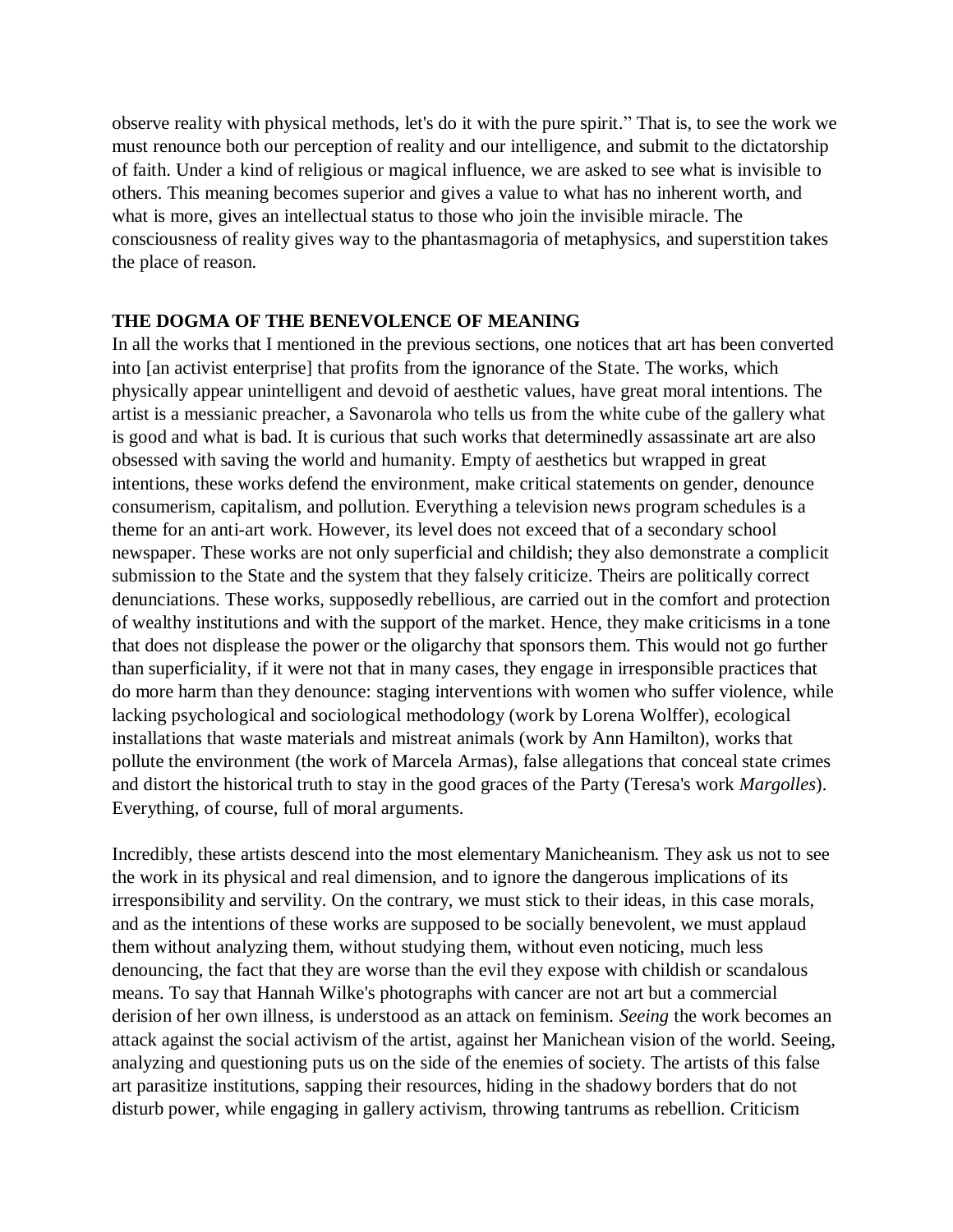observe reality with physical methods, let's do it with the pure spirit." That is, to see the work we must renounce both our perception of reality and our intelligence, and submit to the dictatorship of faith. Under a kind of religious or magical influence, we are asked to see what is invisible to others. This meaning becomes superior and gives a value to what has no inherent worth, and what is more, gives an intellectual status to those who join the invisible miracle. The consciousness of reality gives way to the phantasmagoria of metaphysics, and superstition takes the place of reason.

#### **THE DOGMA OF THE BENEVOLENCE OF MEANING**

In all the works that I mentioned in the previous sections, one notices that art has been converted into [an activist enterprise] that profits from the ignorance of the State. The works, which physically appear unintelligent and devoid of aesthetic values, have great moral intentions. The artist is a messianic preacher, a Savonarola who tells us from the white cube of the gallery what is good and what is bad. It is curious that such works that determinedly assassinate art are also obsessed with saving the world and humanity. Empty of aesthetics but wrapped in great intentions, these works defend the environment, make critical statements on gender, denounce consumerism, capitalism, and pollution. Everything a television news program schedules is a theme for an anti-art work. However, its level does not exceed that of a secondary school newspaper. These works are not only superficial and childish; they also demonstrate a complicit submission to the State and the system that they falsely criticize. Theirs are politically correct denunciations. These works, supposedly rebellious, are carried out in the comfort and protection of wealthy institutions and with the support of the market. Hence, they make criticisms in a tone that does not displease the power or the oligarchy that sponsors them. This would not go further than superficiality, if it were not that in many cases, they engage in irresponsible practices that do more harm than they denounce: staging interventions with women who suffer violence, while lacking psychological and sociological methodology (work by Lorena Wolffer), ecological installations that waste materials and mistreat animals (work by Ann Hamilton), works that pollute the environment (the work of Marcela Armas), false allegations that conceal state crimes and distort the historical truth to stay in the good graces of the Party (Teresa's work *Margolles*). Everything, of course, full of moral arguments.

Incredibly, these artists descend into the most elementary Manicheanism. They ask us not to see the work in its physical and real dimension, and to ignore the dangerous implications of its irresponsibility and servility. On the contrary, we must stick to their ideas, in this case morals, and as the intentions of these works are supposed to be socially benevolent, we must applaud them without analyzing them, without studying them, without even noticing, much less denouncing, the fact that they are worse than the evil they expose with childish or scandalous means. To say that Hannah Wilke's photographs with cancer are not art but a commercial derision of her own illness, is understood as an attack on feminism. *Seeing* the work becomes an attack against the social activism of the artist, against her Manichean vision of the world. Seeing, analyzing and questioning puts us on the side of the enemies of society. The artists of this false art parasitize institutions, sapping their resources, hiding in the shadowy borders that do not disturb power, while engaging in gallery activism, throwing tantrums as rebellion. Criticism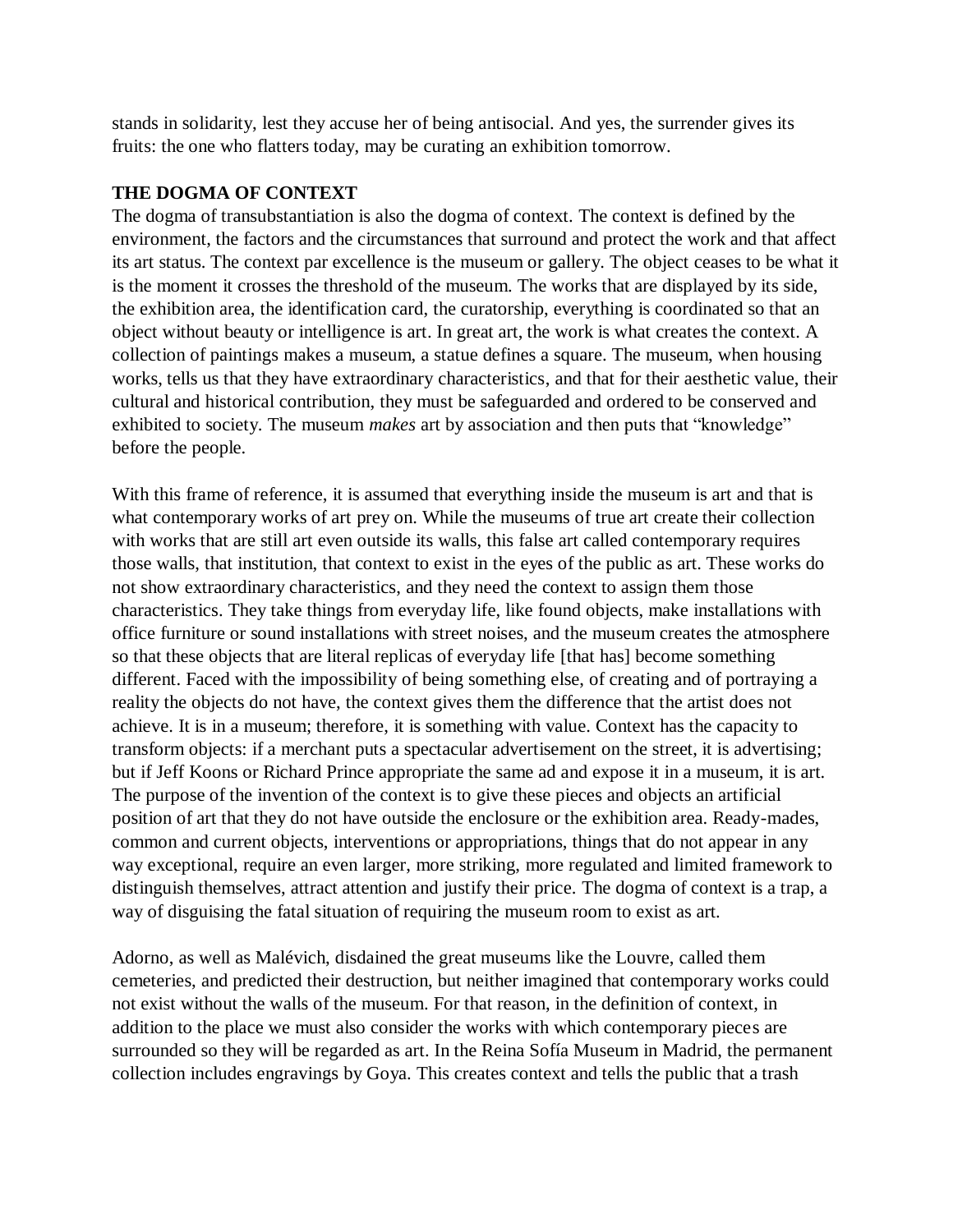stands in solidarity, lest they accuse her of being antisocial. And yes, the surrender gives its fruits: the one who flatters today, may be curating an exhibition tomorrow.

### **THE DOGMA OF CONTEXT**

The dogma of transubstantiation is also the dogma of context. The context is defined by the environment, the factors and the circumstances that surround and protect the work and that affect its art status. The context par excellence is the museum or gallery. The object ceases to be what it is the moment it crosses the threshold of the museum. The works that are displayed by its side, the exhibition area, the identification card, the curatorship, everything is coordinated so that an object without beauty or intelligence is art. In great art, the work is what creates the context. A collection of paintings makes a museum, a statue defines a square. The museum, when housing works, tells us that they have extraordinary characteristics, and that for their aesthetic value, their cultural and historical contribution, they must be safeguarded and ordered to be conserved and exhibited to society. The museum *makes* art by association and then puts that "knowledge" before the people.

With this frame of reference, it is assumed that everything inside the museum is art and that is what contemporary works of art prey on. While the museums of true art create their collection with works that are still art even outside its walls, this false art called contemporary requires those walls, that institution, that context to exist in the eyes of the public as art. These works do not show extraordinary characteristics, and they need the context to assign them those characteristics. They take things from everyday life, like found objects, make installations with office furniture or sound installations with street noises, and the museum creates the atmosphere so that these objects that are literal replicas of everyday life [that has] become something different. Faced with the impossibility of being something else, of creating and of portraying a reality the objects do not have, the context gives them the difference that the artist does not achieve. It is in a museum; therefore, it is something with value. Context has the capacity to transform objects: if a merchant puts a spectacular advertisement on the street, it is advertising; but if Jeff Koons or Richard Prince appropriate the same ad and expose it in a museum, it is art. The purpose of the invention of the context is to give these pieces and objects an artificial position of art that they do not have outside the enclosure or the exhibition area. Ready-mades, common and current objects, interventions or appropriations, things that do not appear in any way exceptional, require an even larger, more striking, more regulated and limited framework to distinguish themselves, attract attention and justify their price. The dogma of context is a trap, a way of disguising the fatal situation of requiring the museum room to exist as art.

Adorno, as well as Malévich, disdained the great museums like the Louvre, called them cemeteries, and predicted their destruction, but neither imagined that contemporary works could not exist without the walls of the museum. For that reason, in the definition of context, in addition to the place we must also consider the works with which contemporary pieces are surrounded so they will be regarded as art. In the Reina Sofía Museum in Madrid, the permanent collection includes engravings by Goya. This creates context and tells the public that a trash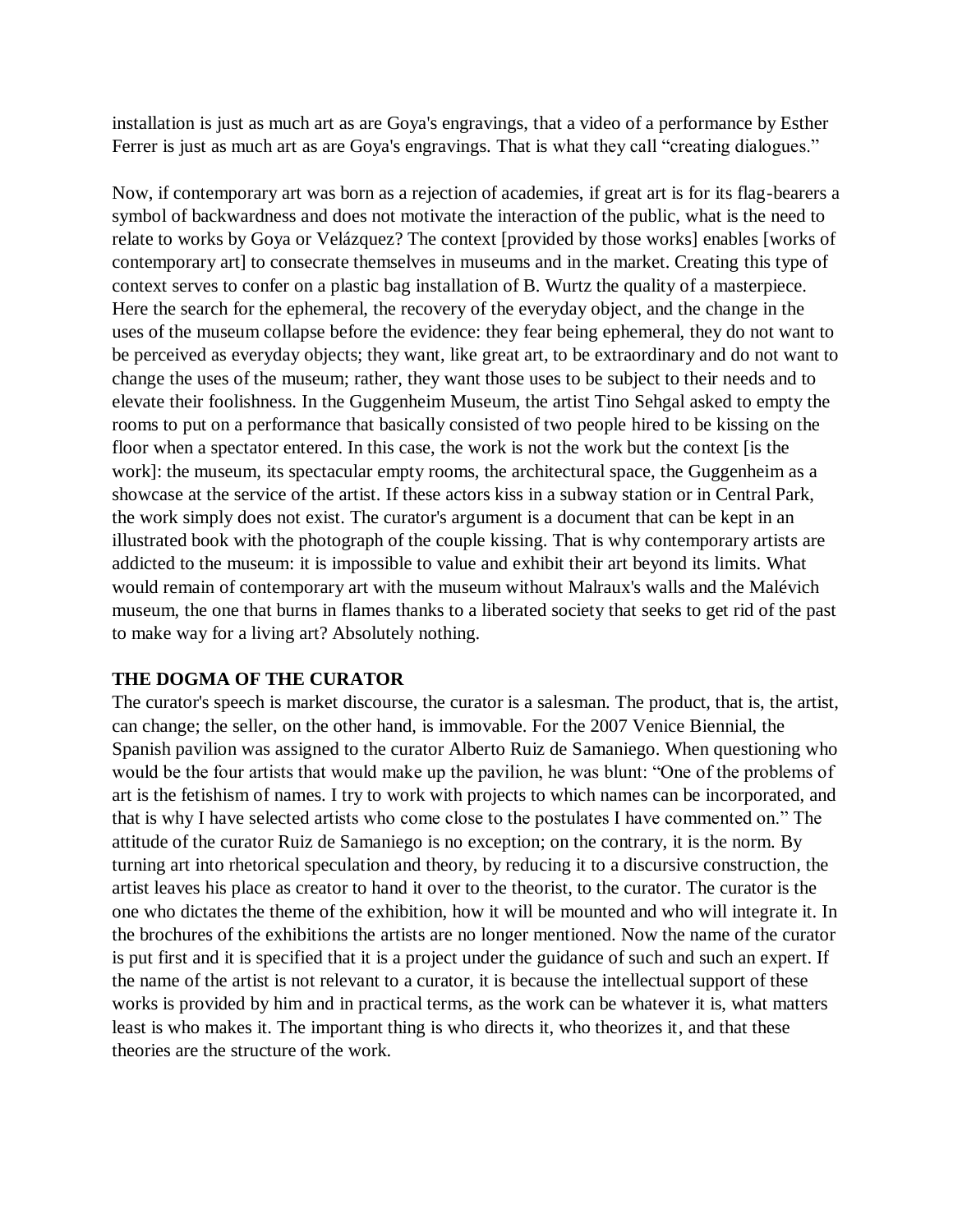installation is just as much art as are Goya's engravings, that a video of a performance by Esther Ferrer is just as much art as are Goya's engravings. That is what they call "creating dialogues."

Now, if contemporary art was born as a rejection of academies, if great art is for its flag-bearers a symbol of backwardness and does not motivate the interaction of the public, what is the need to relate to works by Goya or Velázquez? The context [provided by those works] enables [works of contemporary art] to consecrate themselves in museums and in the market. Creating this type of context serves to confer on a plastic bag installation of B. Wurtz the quality of a masterpiece. Here the search for the ephemeral, the recovery of the everyday object, and the change in the uses of the museum collapse before the evidence: they fear being ephemeral, they do not want to be perceived as everyday objects; they want, like great art, to be extraordinary and do not want to change the uses of the museum; rather, they want those uses to be subject to their needs and to elevate their foolishness. In the Guggenheim Museum, the artist Tino Sehgal asked to empty the rooms to put on a performance that basically consisted of two people hired to be kissing on the floor when a spectator entered. In this case, the work is not the work but the context [is the work]: the museum, its spectacular empty rooms, the architectural space, the Guggenheim as a showcase at the service of the artist. If these actors kiss in a subway station or in Central Park, the work simply does not exist. The curator's argument is a document that can be kept in an illustrated book with the photograph of the couple kissing. That is why contemporary artists are addicted to the museum: it is impossible to value and exhibit their art beyond its limits. What would remain of contemporary art with the museum without Malraux's walls and the Malévich museum, the one that burns in flames thanks to a liberated society that seeks to get rid of the past to make way for a living art? Absolutely nothing.

### **THE DOGMA OF THE CURATOR**

The curator's speech is market discourse, the curator is a salesman. The product, that is, the artist, can change; the seller, on the other hand, is immovable. For the 2007 Venice Biennial, the Spanish pavilion was assigned to the curator Alberto Ruiz de Samaniego. When questioning who would be the four artists that would make up the pavilion, he was blunt: "One of the problems of art is the fetishism of names. I try to work with projects to which names can be incorporated, and that is why I have selected artists who come close to the postulates I have commented on." The attitude of the curator Ruiz de Samaniego is no exception; on the contrary, it is the norm. By turning art into rhetorical speculation and theory, by reducing it to a discursive construction, the artist leaves his place as creator to hand it over to the theorist, to the curator. The curator is the one who dictates the theme of the exhibition, how it will be mounted and who will integrate it. In the brochures of the exhibitions the artists are no longer mentioned. Now the name of the curator is put first and it is specified that it is a project under the guidance of such and such an expert. If the name of the artist is not relevant to a curator, it is because the intellectual support of these works is provided by him and in practical terms, as the work can be whatever it is, what matters least is who makes it. The important thing is who directs it, who theorizes it, and that these theories are the structure of the work.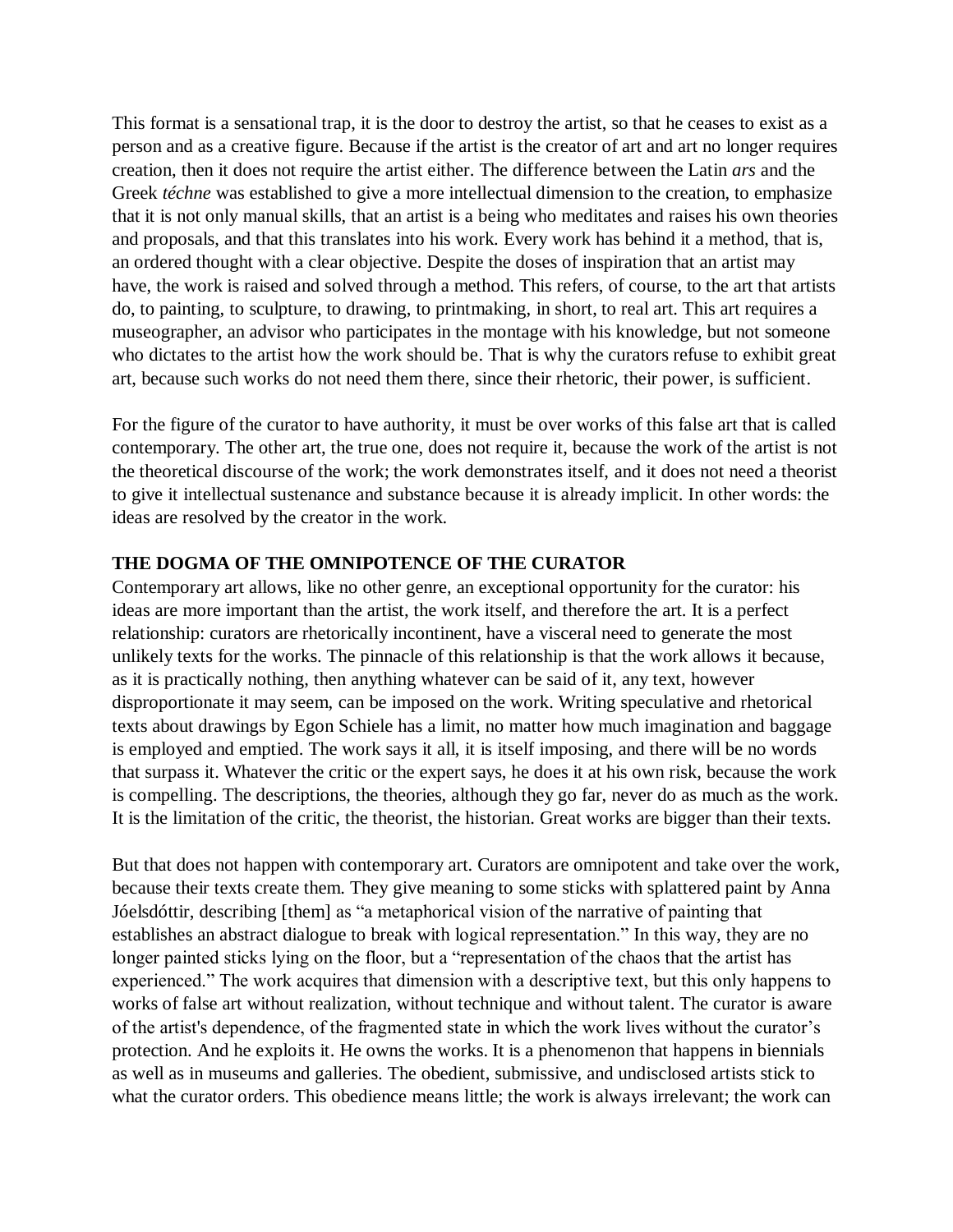This format is a sensational trap, it is the door to destroy the artist, so that he ceases to exist as a person and as a creative figure. Because if the artist is the creator of art and art no longer requires creation, then it does not require the artist either. The difference between the Latin *ars* and the Greek *téchne* was established to give a more intellectual dimension to the creation, to emphasize that it is not only manual skills, that an artist is a being who meditates and raises his own theories and proposals, and that this translates into his work. Every work has behind it a method, that is, an ordered thought with a clear objective. Despite the doses of inspiration that an artist may have, the work is raised and solved through a method. This refers, of course, to the art that artists do, to painting, to sculpture, to drawing, to printmaking, in short, to real art. This art requires a museographer, an advisor who participates in the montage with his knowledge, but not someone who dictates to the artist how the work should be. That is why the curators refuse to exhibit great art, because such works do not need them there, since their rhetoric, their power, is sufficient.

For the figure of the curator to have authority, it must be over works of this false art that is called contemporary. The other art, the true one, does not require it, because the work of the artist is not the theoretical discourse of the work; the work demonstrates itself, and it does not need a theorist to give it intellectual sustenance and substance because it is already implicit. In other words: the ideas are resolved by the creator in the work.

## **THE DOGMA OF THE OMNIPOTENCE OF THE CURATOR**

Contemporary art allows, like no other genre, an exceptional opportunity for the curator: his ideas are more important than the artist, the work itself, and therefore the art. It is a perfect relationship: curators are rhetorically incontinent, have a visceral need to generate the most unlikely texts for the works. The pinnacle of this relationship is that the work allows it because, as it is practically nothing, then anything whatever can be said of it, any text, however disproportionate it may seem, can be imposed on the work. Writing speculative and rhetorical texts about drawings by Egon Schiele has a limit, no matter how much imagination and baggage is employed and emptied. The work says it all, it is itself imposing, and there will be no words that surpass it. Whatever the critic or the expert says, he does it at his own risk, because the work is compelling. The descriptions, the theories, although they go far, never do as much as the work. It is the limitation of the critic, the theorist, the historian. Great works are bigger than their texts.

But that does not happen with contemporary art. Curators are omnipotent and take over the work, because their texts create them. They give meaning to some sticks with splattered paint by Anna Jóelsdóttir, describing [them] as "a metaphorical vision of the narrative of painting that establishes an abstract dialogue to break with logical representation." In this way, they are no longer painted sticks lying on the floor, but a "representation of the chaos that the artist has experienced." The work acquires that dimension with a descriptive text, but this only happens to works of false art without realization, without technique and without talent. The curator is aware of the artist's dependence, of the fragmented state in which the work lives without the curator's protection. And he exploits it. He owns the works. It is a phenomenon that happens in biennials as well as in museums and galleries. The obedient, submissive, and undisclosed artists stick to what the curator orders. This obedience means little; the work is always irrelevant; the work can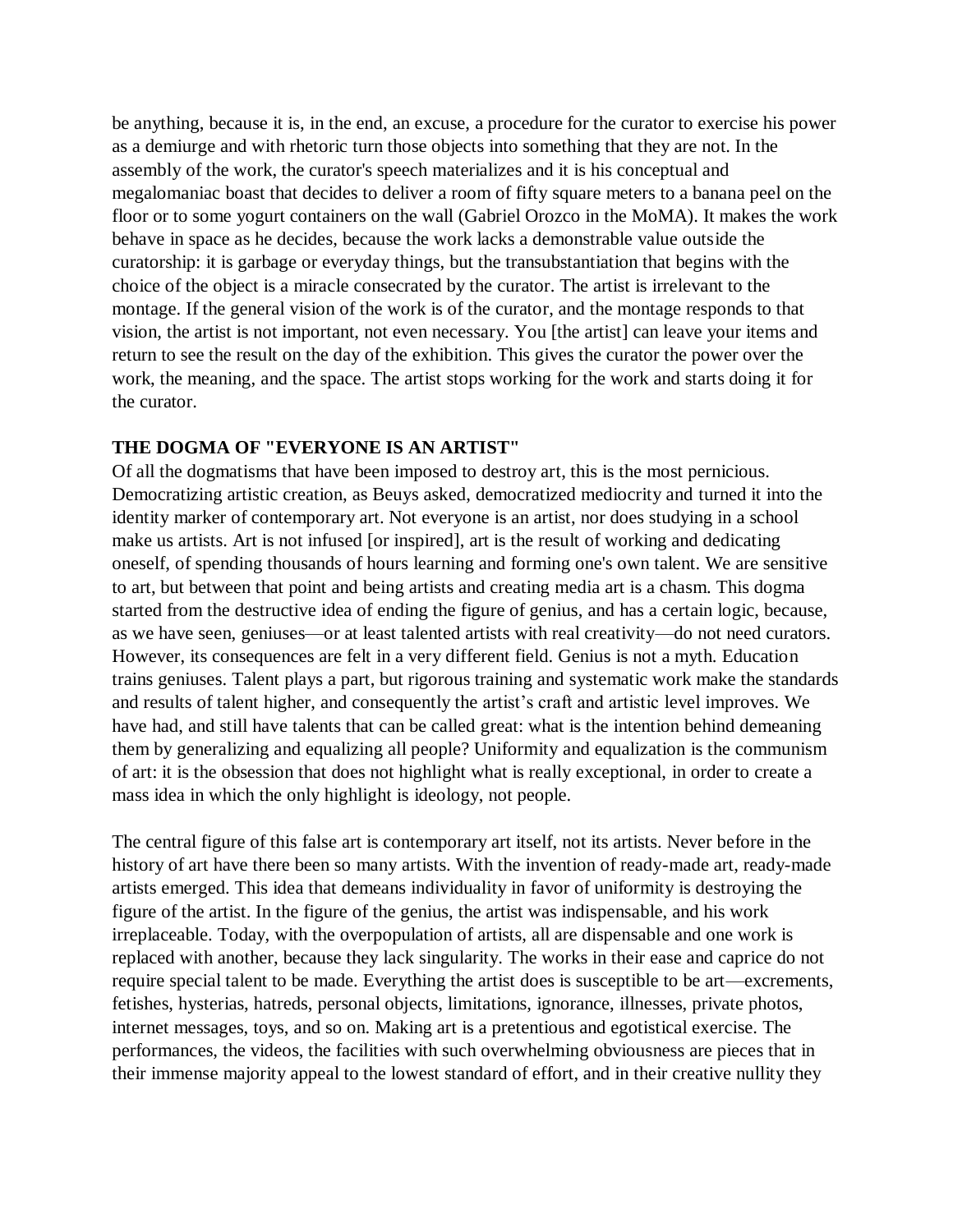be anything, because it is, in the end, an excuse, a procedure for the curator to exercise his power as a demiurge and with rhetoric turn those objects into something that they are not. In the assembly of the work, the curator's speech materializes and it is his conceptual and megalomaniac boast that decides to deliver a room of fifty square meters to a banana peel on the floor or to some yogurt containers on the wall (Gabriel Orozco in the MoMA). It makes the work behave in space as he decides, because the work lacks a demonstrable value outside the curatorship: it is garbage or everyday things, but the transubstantiation that begins with the choice of the object is a miracle consecrated by the curator. The artist is irrelevant to the montage. If the general vision of the work is of the curator, and the montage responds to that vision, the artist is not important, not even necessary. You [the artist] can leave your items and return to see the result on the day of the exhibition. This gives the curator the power over the work, the meaning, and the space. The artist stops working for the work and starts doing it for the curator.

### **THE DOGMA OF "EVERYONE IS AN ARTIST"**

Of all the dogmatisms that have been imposed to destroy art, this is the most pernicious. Democratizing artistic creation, as Beuys asked, democratized mediocrity and turned it into the identity marker of contemporary art. Not everyone is an artist, nor does studying in a school make us artists. Art is not infused [or inspired], art is the result of working and dedicating oneself, of spending thousands of hours learning and forming one's own talent. We are sensitive to art, but between that point and being artists and creating media art is a chasm. This dogma started from the destructive idea of ending the figure of genius, and has a certain logic, because, as we have seen, geniuses—or at least talented artists with real creativity—do not need curators. However, its consequences are felt in a very different field. Genius is not a myth. Education trains geniuses. Talent plays a part, but rigorous training and systematic work make the standards and results of talent higher, and consequently the artist's craft and artistic level improves. We have had, and still have talents that can be called great: what is the intention behind demeaning them by generalizing and equalizing all people? Uniformity and equalization is the communism of art: it is the obsession that does not highlight what is really exceptional, in order to create a mass idea in which the only highlight is ideology, not people.

The central figure of this false art is contemporary art itself, not its artists. Never before in the history of art have there been so many artists. With the invention of ready-made art, ready-made artists emerged. This idea that demeans individuality in favor of uniformity is destroying the figure of the artist. In the figure of the genius, the artist was indispensable, and his work irreplaceable. Today, with the overpopulation of artists, all are dispensable and one work is replaced with another, because they lack singularity. The works in their ease and caprice do not require special talent to be made. Everything the artist does is susceptible to be art—excrements, fetishes, hysterias, hatreds, personal objects, limitations, ignorance, illnesses, private photos, internet messages, toys, and so on. Making art is a pretentious and egotistical exercise. The performances, the videos, the facilities with such overwhelming obviousness are pieces that in their immense majority appeal to the lowest standard of effort, and in their creative nullity they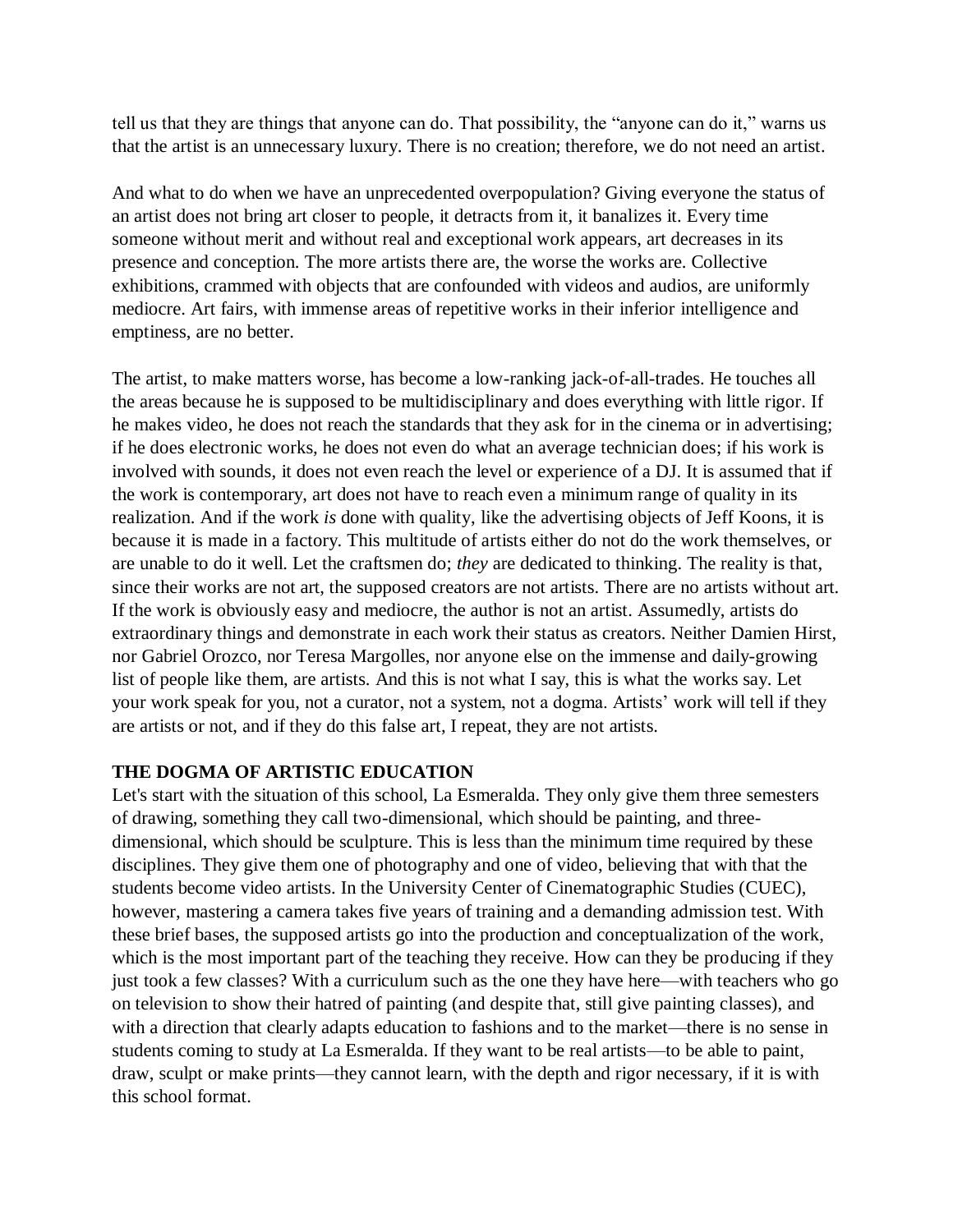tell us that they are things that anyone can do. That possibility, the "anyone can do it," warns us that the artist is an unnecessary luxury. There is no creation; therefore, we do not need an artist.

And what to do when we have an unprecedented overpopulation? Giving everyone the status of an artist does not bring art closer to people, it detracts from it, it banalizes it. Every time someone without merit and without real and exceptional work appears, art decreases in its presence and conception. The more artists there are, the worse the works are. Collective exhibitions, crammed with objects that are confounded with videos and audios, are uniformly mediocre. Art fairs, with immense areas of repetitive works in their inferior intelligence and emptiness, are no better.

The artist, to make matters worse, has become a low-ranking jack-of-all-trades. He touches all the areas because he is supposed to be multidisciplinary and does everything with little rigor. If he makes video, he does not reach the standards that they ask for in the cinema or in advertising; if he does electronic works, he does not even do what an average technician does; if his work is involved with sounds, it does not even reach the level or experience of a DJ. It is assumed that if the work is contemporary, art does not have to reach even a minimum range of quality in its realization. And if the work *is* done with quality, like the advertising objects of Jeff Koons, it is because it is made in a factory. This multitude of artists either do not do the work themselves, or are unable to do it well. Let the craftsmen do; *they* are dedicated to thinking. The reality is that, since their works are not art, the supposed creators are not artists. There are no artists without art. If the work is obviously easy and mediocre, the author is not an artist. Assumedly, artists do extraordinary things and demonstrate in each work their status as creators. Neither Damien Hirst, nor Gabriel Orozco, nor Teresa Margolles, nor anyone else on the immense and daily-growing list of people like them, are artists. And this is not what I say, this is what the works say. Let your work speak for you, not a curator, not a system, not a dogma. Artists' work will tell if they are artists or not, and if they do this false art, I repeat, they are not artists.

### **THE DOGMA OF ARTISTIC EDUCATION**

Let's start with the situation of this school, La Esmeralda. They only give them three semesters of drawing, something they call two-dimensional, which should be painting, and threedimensional, which should be sculpture. This is less than the minimum time required by these disciplines. They give them one of photography and one of video, believing that with that the students become video artists. In the University Center of Cinematographic Studies (CUEC), however, mastering a camera takes five years of training and a demanding admission test. With these brief bases, the supposed artists go into the production and conceptualization of the work, which is the most important part of the teaching they receive. How can they be producing if they just took a few classes? With a curriculum such as the one they have here—with teachers who go on television to show their hatred of painting (and despite that, still give painting classes), and with a direction that clearly adapts education to fashions and to the market—there is no sense in students coming to study at La Esmeralda. If they want to be real artists—to be able to paint, draw, sculpt or make prints—they cannot learn, with the depth and rigor necessary, if it is with this school format.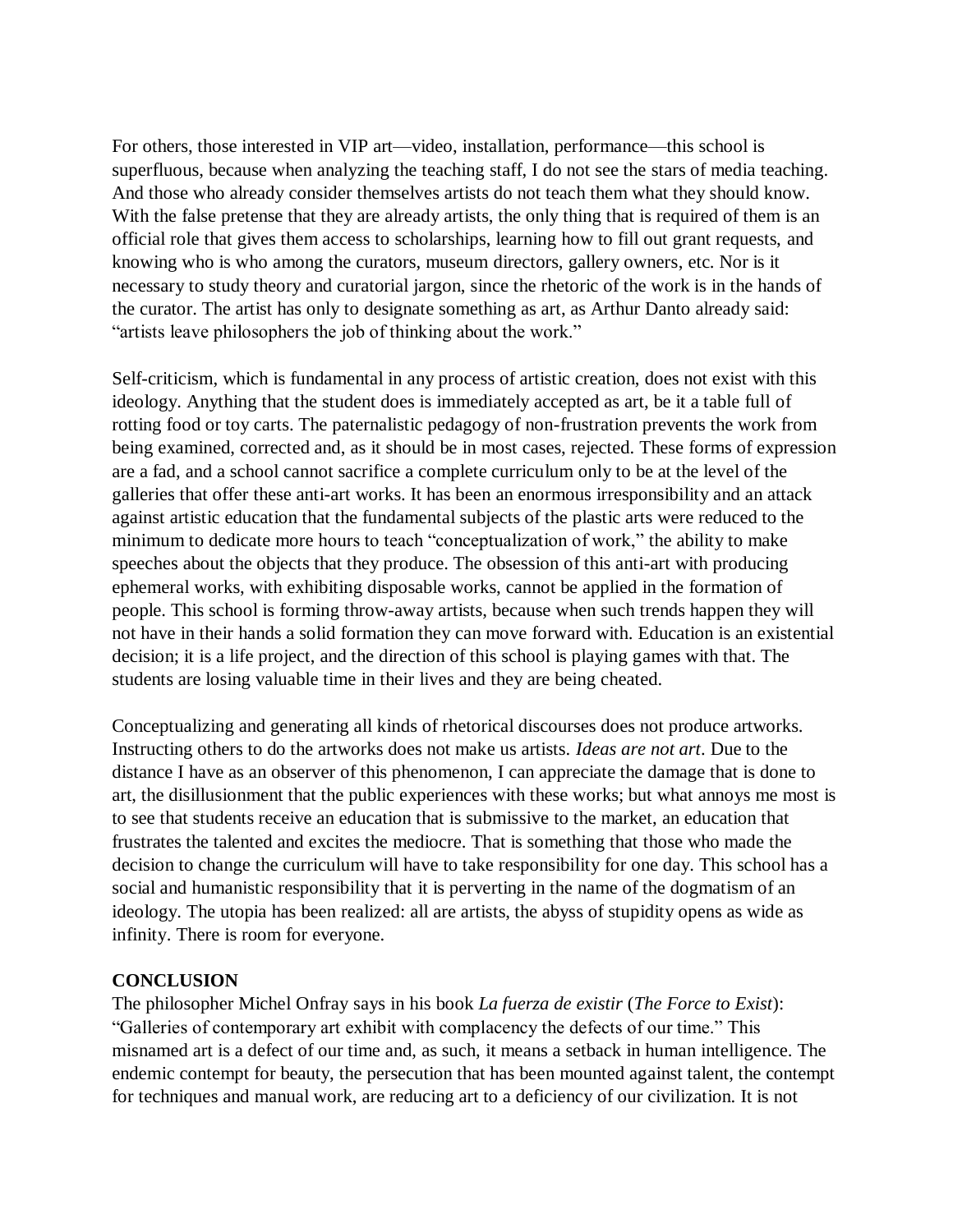For others, those interested in VIP art—video, installation, performance—this school is superfluous, because when analyzing the teaching staff, I do not see the stars of media teaching. And those who already consider themselves artists do not teach them what they should know. With the false pretense that they are already artists, the only thing that is required of them is an official role that gives them access to scholarships, learning how to fill out grant requests, and knowing who is who among the curators, museum directors, gallery owners, etc. Nor is it necessary to study theory and curatorial jargon, since the rhetoric of the work is in the hands of the curator. The artist has only to designate something as art, as Arthur Danto already said: "artists leave philosophers the job of thinking about the work."

Self-criticism, which is fundamental in any process of artistic creation, does not exist with this ideology. Anything that the student does is immediately accepted as art, be it a table full of rotting food or toy carts. The paternalistic pedagogy of non-frustration prevents the work from being examined, corrected and, as it should be in most cases, rejected. These forms of expression are a fad, and a school cannot sacrifice a complete curriculum only to be at the level of the galleries that offer these anti-art works. It has been an enormous irresponsibility and an attack against artistic education that the fundamental subjects of the plastic arts were reduced to the minimum to dedicate more hours to teach "conceptualization of work," the ability to make speeches about the objects that they produce. The obsession of this anti-art with producing ephemeral works, with exhibiting disposable works, cannot be applied in the formation of people. This school is forming throw-away artists, because when such trends happen they will not have in their hands a solid formation they can move forward with. Education is an existential decision; it is a life project, and the direction of this school is playing games with that. The students are losing valuable time in their lives and they are being cheated.

Conceptualizing and generating all kinds of rhetorical discourses does not produce artworks. Instructing others to do the artworks does not make us artists. *Ideas are not art*. Due to the distance I have as an observer of this phenomenon, I can appreciate the damage that is done to art, the disillusionment that the public experiences with these works; but what annoys me most is to see that students receive an education that is submissive to the market, an education that frustrates the talented and excites the mediocre. That is something that those who made the decision to change the curriculum will have to take responsibility for one day. This school has a social and humanistic responsibility that it is perverting in the name of the dogmatism of an ideology. The utopia has been realized: all are artists, the abyss of stupidity opens as wide as infinity. There is room for everyone.

#### **CONCLUSION**

The philosopher Michel Onfray says in his book *La fuerza de existir* (*The Force to Exist*): "Galleries of contemporary art exhibit with complacency the defects of our time." This misnamed art is a defect of our time and, as such, it means a setback in human intelligence. The endemic contempt for beauty, the persecution that has been mounted against talent, the contempt for techniques and manual work, are reducing art to a deficiency of our civilization. It is not